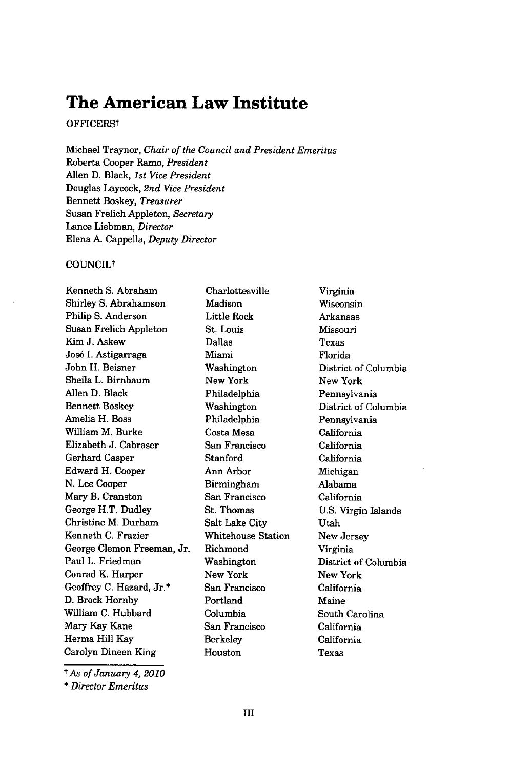# **The American Law Institute**

# **OFFICERSt**

Michael Traynor, *Chair of the Council and President Emeritus* Roberta Cooper Ramo, *President* Allen D. Black, *1st Vice President* Douglas Laycock, *2nd Vice President* Bennett Boskey, *Treasurer* Susan Frelich Appleton, *Secretary* Lance Liebman, *Director* Elena A. Cappella, *Deputy Director*

### COUNCILt

Kenneth S. Abraham Shirley S. Abrahamson Philip S. Anderson Susan Frelich Appleton Kim J. Askew Jos6 I. Astigarraga John H. Beisner Sheila L. Birnbaum Allen D. Black Bennett Boskey Amelia H. Boss William M. Burke Elizabeth J. Cabraser Gerhard Casper Edward H. Cooper N. Lee Cooper Mary B. Cranston George H.T. Dudley Christine M. Durham Kenneth C. Frazier George Clemon Freeman, Jr. Paul L. Friedman Conrad K. Harper Geoffrey C. Hazard, Jr.\* D. Brock Hornby William C. Hubbard Mary Kay Kane Herma Hill Kay Carolyn Dineen King

*t As of January 4, 2010*

\* *Director Emeritus*

Charlottesville Madison Little Rock St. Louis Dallas Miami Washington New York Philadelphia Washington Philadelphia Costa Mesa San Francisco Stanford Ann Arbor Birmingham San Francisco St. Thomas Salt Lake City Whitehouse Station Richmond Washington New York San Francisco Portland Columbia San Francisco Berkeley Houston

Virginia Wisconsin Arkansas Missouri Texas Florida District of Columbia New York Pennsylvania District of Columbia Pennsylvania California California California Michigan Alabama California U.S. Virgin Islands Utah New Jersey Virginia District of Columbia New York California Maine South Carolina California California Texas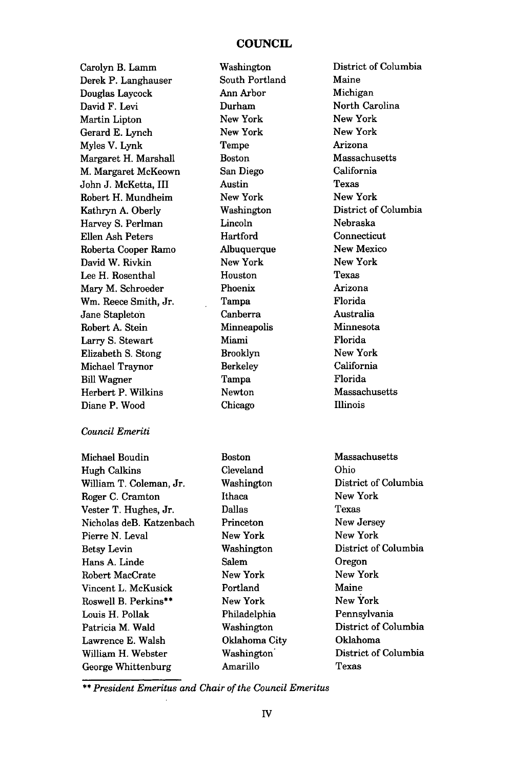#### **COUNCIL**

Carolyn B. Lamm Derek P. Langhauser Douglas Laycock David F. Levi Martin Lipton Gerard E. Lynch Myles V. Lynk Margaret H. Marshall M. Margaret McKeown John J. McKetta, III Robert H. Mundheim Kathryn A. Oberly Harvey S. Perlman Ellen Ash Peters Roberta Cooper Ramo David W. Rivkin Lee H. Rosenthal Mary M. Schroeder Wm. Reece Smith, Jr. Jane Stapleton Robert A. Stein Larry S. Stewart Elizabeth S. Stong Michael Traynor Bill Wagner Herbert P. Wilkins Diane P. Wood

#### *Council Emeriti*

Michael Boudin Boston Hugh Calkins Cleveland William T. Coleman, Jr. Washington Roger C. Cramton Ithaca Vester T. Hughes, Jr. Dallas Nicholas deB. Katzenbach Princeton Pierre N. Leval New York Betsy Levin Washington Hans A. Linde Salem Robert MacCrate New York Vincent L. McKusick Portland Roswell B. Perkins\*\* New York Louis H. Pollak Philadelphia Patricia M. Wald Washington Lawrence E. Walsh Oklahoma City William H. Webster Washington George Whittenburg Amarillo

Washington South Portland Ann Arbor Durham New York New York Tempe Boston San Diego Austin New York Washington Lincoln Hartford Albuquerque New York Houston Phoenix Tampa Canberra Minneapolis Miami Brooklyn Berkeley Tampa Newton Chicago

District of Columbia Maine Michigan North Carolina New York New York Arizona Massachusetts California Texas New York District of Columbia Nebraska Connecticut New Mexico New York Texas Arizona Florida Australia Minnesota Florida New York California Florida Massachusetts Illinois

Massachusetts Ohio District of Columbia New York Texas New Jersey New York District of Columbia Oregon New York Maine New York Pennsylvania District of Columbia Oklahoma District of Columbia Texas

\*\* *President Emeritus and Chair of the Council Emeritus*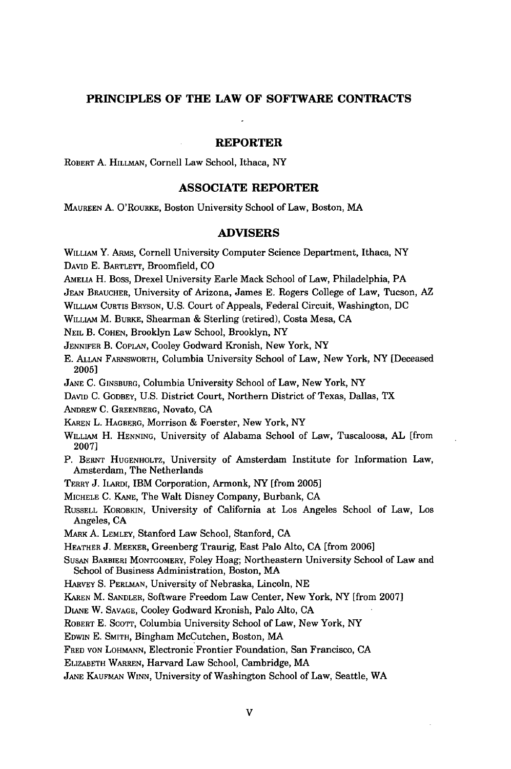#### **PRINCIPLES OF THE LAW OF SOFTWARE CONTRACTS**

#### **REPORTER**

ROBERT **A.** HILLMAN, Cornell Law School, Ithaca, NY

## **ASSOCIATE REPORTER**

**MAUREEN A.** O'RouRKE, Boston University School of Law, Boston, MA

#### **ADVISERS**

WILLIAM Y. ARMS, Cornell University Computer Science Department, Ithaca, NY **DAVID E.** BARTLETT, Broomfield, **CO**

**AMELIA** H. Boss, Drexel University Earle Mack School of Law, Philadelphia, PA

**JEA** BRAUCHER, University of Arizona, James **E.** Rogers College of Law, Tucson, AZ

WILLIAM CURTIS BRYSON, **U.S.** Court of Appeals, Federal Circuit, Washington, **DC**

WILLIAM M. **BURKE,** Shearman **&** Sterling (retired), Costa Mesa, **CA**

NEIL B. **COHEN,** Brooklyn Law School, Brooklyn, NY

JENNIFER B. **CoPLAN,** Cooley Godward Kronish, New York, NY

**E. ALLAN** FARNSWORTH, Columbia University School of Law, New York, NY [Deceased **2005]**

**JANE C. GINSBURG,** Columbia University School of Law, New York, NY

DAVID **C.** GODBEY, **U.S.** District Court, Northern District of Texas, Dallas, TX

ANDREW **C.** GREENBERG, Novato, **CA**

KAREN L. HAGBERG, Morrison & Foerster, New York, NY

WILLIAM H. HENNING, University of Alabama School of Law, Tuscaloosa, AL [from **2007]**

P. BERNT HUGENHOLTZ, University of Amsterdam Institute for Information Law, Amsterdam, The Netherlands

TERRY J. ILARDI, IBM Corporation, Armonk, NY [from 2005]

**MICHELE** C. KANE, The Walt Disney Company, Burbank, CA

**RUSSELL** KOROBKIN, University of California at Los Angeles School of Law, Los Angeles, CA

MARK A. LEMLEY, Stanford Law School, Stanford, CA

HEATHER J. MEEKER, Greenberg Traurig, East Palo Alto, CA [from 2006]

SUsAN BARBIERI MONTGOMERY, Foley Hoag; Northeastern University School of Law and School of Business Administration, Boston, MA

HARVEY S. PERLMAN, University of Nebraska, Lincoln, NE

KAREN M. SANDLER, Software Freedom Law Center, New York, **NY** [from 2007]

**DIANE** W. SAVAGE, Cooley Godward Kronish, Palo Alto, CA

ROBERT E. SCOTT, Columbia University School of Law, New York, NY

**EDWIN** E. SMITH, Bingham McCutchen, Boston, MA

FRED **VON** LoHMANN, Electronic Frontier Foundation, San Francisco, **CA**

ELIZABETH WARREN, Harvard Law School, Cambridge, MA

JANE KAUFMAN WINN, University of Washington School of Law, Seattle, WA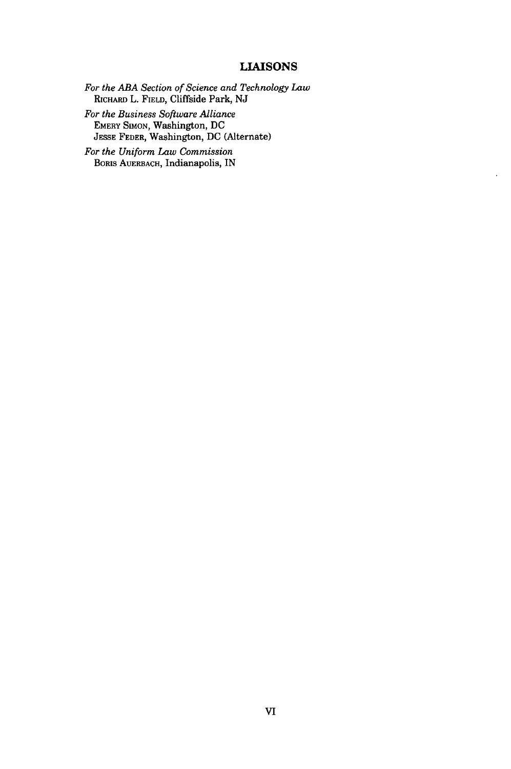# **LIAISONS**

 $\cdot$ 

*For the ABA Section of Science and Technology Law* **RICHARD** L. **FIELD,** Cliffside Park, NJ

*For the Business Software Alliance* EMERY SIMON, Washington, **DC** JESSE FEDER, Washington, DC (Alternate)

*For the Uniform Law Commission* BORIS **AUERBACH,** Indianapolis, IN